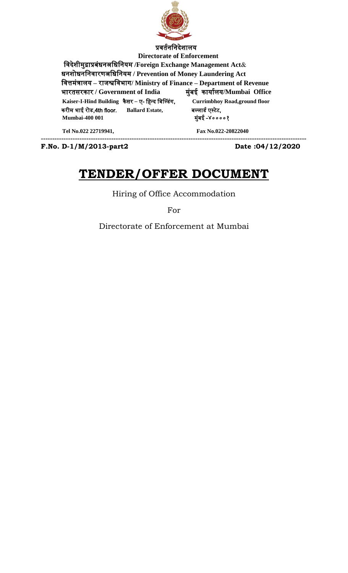

 **Directorate of Enforcement** नवदेशीमुद्राप्रबंधनअनधननयम **/Foreign Exchange Management Act**& धनशोधनननवारणअनधननयम **/ Prevention of Money Laundering Act** नवत्तमंत्रालय **–** राजश्वनवभाग**/ Ministry of Finance – Department of Revenue** भारर्सरकार **/ Government of India** मुंबई कायातलय**/Mumbai Office Kaiser-I-Hind Building** कै सर – ए- निन्द नबल्डंग, **Currimbhoy Road,ground floor** करीम भाई रोड,4th floor, **Ballard Estate,** ब्लाडत एस्टेट,  **Mumbai-400 001** मुंबई -४००००१ **Tel No.022 22719941, Fax No.022-20822040**

**---------------------------------------------------------------------------------------------------------------------**

**F.No. D-1/M/2013-part2 Date :04/12/2020**

# **TENDER/OFFER DOCUMENT**

Hiring of Office Accommodation

For

Directorate of Enforcement at Mumbai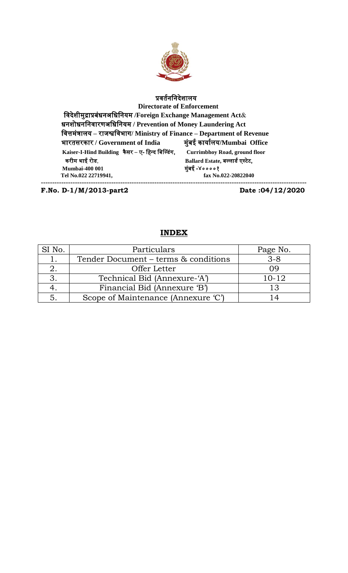

# प्रवर्तनननदेशालय

 **Directorate of Enforcement** नवदेशीमुद्राप्रबंधनअनधननयम **/Foreign Exchange Management Act**& धनशोधनननवारणअनधननयम **/ Prevention of Money Laundering Act** नवत्तमंत्रालय **–** राजश्वनवभाग**/ Ministry of Finance – Department of Revenue** भारर्सरकार **/ Government of India** मुंबई कायातलय**/Mumbai Office Kaiser-I-Hind Building** कै सर – ए- निन्द नबल्डंग, **Currimbhoy Road, ground floor** करीम भाई रोड, **Ballard Estate,** ब्लाडत एस्टेट,  **Mumbai-400 001** मुंबई -४००००१  **Tel No.022 22719941, fax No.022-20822040 ---------------------------------------------------------------------------------------------------------------------**

**F.No. D-1/M/2013-part2 Date :04/12/2020**

# **INDEX**

| $\sim$ No. | Particulars                          | Page No.  |
|------------|--------------------------------------|-----------|
|            | Tender Document – terms & conditions | $3 - 8$   |
|            | Offer Letter                         | 09        |
|            | Technical Bid (Annexure-'A')         | $10 - 12$ |
|            | Financial Bid (Annexure 'B')         | 13        |
|            | Scope of Maintenance (Annexure 'C')  |           |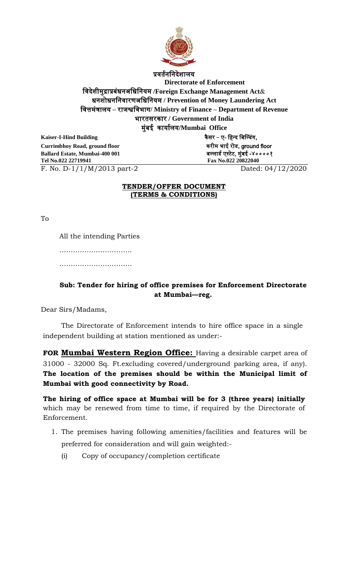

प्रवर्तनननदेशालय

**Directorate of Enforcement** नवदेशीमुद्राप्रबंधनअनधननयम **/Foreign Exchange Management Act**& धनशोधनननवारणअनधननयम **/ Prevention of Money Laundering Act** नवत्तमंत्रालय **–** राजश्वनवभाग**/ Ministry of Finance – Department of Revenue** भारर्सरकार **/ Government of India** मुंबई कायातलय**/Mumbai Office**

**Kaiser-I-Hind Building** कै सर – ए- निन्द नबल्डंग, **Currimbhoy Road, ground floor** करीम भाई रोड, ground floor **Ballard Estate, Mumbai-400 001** ब्लाडत एस्टेट, मुंबई -४००००१ **Tel No.022 22719941 Fax No.022 20822040** 

F. No. D-1/1/M/2013 part-2 Dated: 04/12/2020

# **TENDER/OFFER DOCUMENT (TERMS & CONDITIONS)**

To

All the intending Parties

……………………………………

………………………………………

# **Sub: Tender for hiring of office premises for Enforcement Directorate at Mumbai—reg.**

Dear Sirs/Madams,

The Directorate of Enforcement intends to hire office space in a single independent building at station mentioned as under:-

**FOR Mumbai Western Region Office:** Having a desirable carpet area of 31000 - 32000 Sq. Ft.excluding covered/underground parking area, if any). **The location of the premises should be within the Municipal limit of Mumbai with good connectivity by Road.**

**The hiring of office space at Mumbai will be for 3 (three years) initially** which may be renewed from time to time, if required by the Directorate of Enforcement.

- 1. The premises having following amenities/facilities and features will be preferred for consideration and will gain weighted:-
	- (i) Copy of occupancy/completion certificate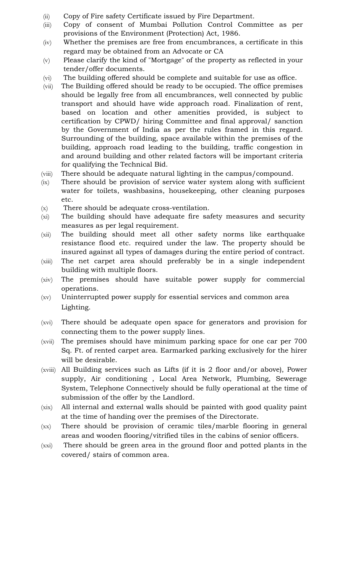- (ii) Copy of Fire safety Certificate issued by Fire Department.
- (iii) Copy of consent of Mumbai Pollution Control Committee as per provisions of the Environment (Protection) Act, 1986.
- (iv) Whether the premises are free from encumbrances, a certificate in this regard may be obtained from an Advocate or CA
- (v) Please clarify the kind of "Mortgage" of the property as reflected in your tender/offer documents.
- (vi) The building offered should be complete and suitable for use as office.
- (vii) The Building offered should be ready to be occupied. The office premises should be legally free from all encumbrances, well connected by public transport and should have wide approach road. Finalization of rent, based on location and other amenities provided, is subject to certification by CPWD/ hiring Committee and final approval/ sanction by the Government of India as per the rules framed in this regard. Surrounding of the building, space available within the premises of the building, approach road leading to the building, traffic congestion in and around building and other related factors will be important criteria for qualifying the Technical Bid.
- (viii) There should be adequate natural lighting in the campus/compound.
- (ix) There should be provision of service water system along with sufficient water for toilets, washbasins, housekeeping, other cleaning purposes etc.
- (x) There should be adequate cross-ventilation.
- (xi) The building should have adequate fire safety measures and security measures as per legal requirement.
- (xii) The building should meet all other safety norms like earthquake resistance flood etc. required under the law. The property should be insured against all types of damages during the entire period of contract.
- (xiii) The net carpet area should preferably be in a single independent building with multiple floors.
- (xiv) The premises should have suitable power supply for commercial operations.
- (xv) Uninterrupted power supply for essential services and common area Lighting.
- (xvi) There should be adequate open space for generators and provision for connecting them to the power supply lines.
- (xvii) The premises should have minimum parking space for one car per 700 Sq. Ft. of rented carpet area. Earmarked parking exclusively for the hirer will be desirable.
- (xviii) All Building services such as Lifts (if it is 2 floor and/or above), Power supply, Air conditioning , Local Area Network, Plumbing, Sewerage System, Telephone Connectively should be fully operational at the time of submission of the offer by the Landlord.
- (xix) All internal and external walls should be painted with good quality paint at the time of handing over the premises of the Directorate.
- (xx) There should be provision of ceramic tiles/marble flooring in general areas and wooden flooring/vitrified tiles in the cabins of senior officers.
- (xxi) There should be green area in the ground floor and potted plants in the covered/ stairs of common area.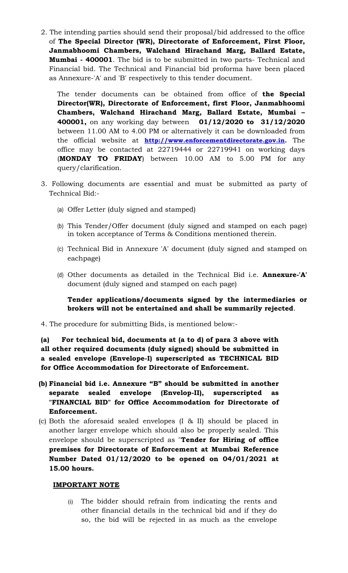2. The intending parties should send their proposal/bid addressed to the office of **The Special Director (WR), Directorate of Enforcement, First Floor, Janmabhoomi Chambers, Walchand Hirachand Marg, Ballard Estate, Mumbai - 400001**. The bid is to be submitted in two parts- Technical and Financial bid. The Technical and Financial bid proforma have been placed as Annexure-'A' and 'B' respectively to this tender document.

The tender documents can be obtained from office of **the Special Director(WR), Directorate of Enforcement, first Floor, Janmabhoomi Chambers, Walchand Hirachand Marg, Ballard Estate, Mumbai – 400001,** on any working day between **01/12/2020 to 31/12/2020** between 11.00 AM to 4.00 PM or alternatively it can be downloaded from the official website at **[http://www.enforcementdirectorate.gov.in.](http://www.enforcementdirectorate.gov.in/)** The office may be contacted at 22719444 or 22719941 on working days (**MONDAY TO FRIDAY**) between 10.00 AM to 5.00 PM for any query/clarification.

- 3. Following documents are essential and must be submitted as party of Technical Bid:-
	- (a) Offer Letter (duly signed and stamped)
	- (b) This Tender/Offer document (duly signed and stamped on each page) in token acceptance of Terms & Conditions mentioned therein.
	- (c) Technical Bid in Annexure 'A' document (duly signed and stamped on eachpage)
	- (d) Other documents as detailed in the Technical Bid i.e. **Annexure-'A'** document (duly signed and stamped on each page)

**Tender applications/documents signed by the intermediaries or brokers will not be entertained and shall be summarily rejected**.

4. The procedure for submitting Bids, is mentioned below:-

**(a) For technical bid, documents at (a to d) of para 3 above with all other required documents (duly signed) should be submitted in a sealed envelope (Envelope-I) superscripted as TECHNICAL BID for Office Accommodation for Directorate of Enforcement.**

- **(b) Financial bid i.e. Annexure "B" should be submitted in another separate sealed envelope (Envelop-II), superscripted as "FINANCIAL BID" for Office Accommodation for Directorate of Enforcement.**
- (c) Both the aforesaid sealed envelopes (I & II) should be placed in another larger envelope which should also be properly sealed. This envelope should be superscripted as "**Tender for Hiring of office premises for Directorate of Enforcement at Mumbai Reference Number Dated 01/12/2020 to be opened on 04/01/2021 at 15.00 hours.**

## **IMPORTANT NOTE**

(i) The bidder should refrain from indicating the rents and other financial details in the technical bid and if they do so, the bid will be rejected in as much as the envelope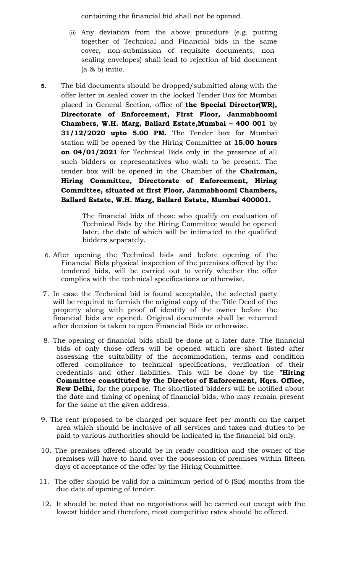containing the financial bid shall not be opened.

- (ii) Any deviation from the above procedure (e.g. putting together of Technical and Financial bids in the same cover, non-submission of requisite documents, nonsealing envelopes) shall lead to rejection of bid document (a & b) initio.
- **5.** The bid documents should be dropped/submitted along with the offer letter in sealed cover in the locked Tender Box for Mumbai placed in General Section, office of **the Special Director(WR), Directorate of Enforcement, First Floor, Janmabhoomi Chambers, W.H. Marg, Ballard Estate,Mumbai – 400 001** by **31/12/2020 upto 5.00 PM.** The Tender box for Mumbai station will be opened by the Hiring Committee at **15.00 hours on 04/01/2021** for Technical Bids only in the presence of all such bidders or representatives who wish to be present. The tender box will be opened in the Chamber of the **Chairman, Hiring Committee, Directorate of Enforcement, Hiring Committee, situated at first Floor, Janmabhoomi Chambers, Ballard Estate, W.H. Marg, Ballard Estate, Mumbai 400001.**

The financial bids of those who qualify on evaluation of Technical Bids by the Hiring Committee would be opened later, the date of which will be intimated to the qualified bidders separately.

- 6. After opening the Technical bids and before opening of the Financial Bids physical inspection of the premises offered by the tendered bids, will be carried out to verify whether the offer complies with the technical specifications or otherwise.
- 7. In case the Technical bid is found acceptable, the selected party will be required to furnish the original copy of the Title Deed of the property along with proof of identity of the owner before the financial bids are opened. Original documents shall be returned after decision is taken to open Financial Bids or otherwise.
- 8. The opening of financial bids shall be done at a later date. The financial bids of only those offers will be opened which are short listed after assessing the suitability of the accommodation, terms and condition offered compliance to technical specifications, verification of their credentials and other liabilities. This will be done by the **"Hiring Committee constituted by the Director of Enforcement, Hqrs. Office, New Delhi,** for the purpose. The shortlisted bidders will be notified about the date and timing of opening of financial bids, who may remain present for the same at the given address.
- 9. The rent proposed to be charged per square feet per month on the carpet area which should be inclusive of all services and taxes and duties to be paid to various authorities should be indicated in the financial bid only.
- 10. The premises offered should be in ready condition and the owner of the premises will have to hand over the possession of premises within fifteen days of acceptance of the offer by the Hiring Committee.
- 11. The offer should be valid for a minimum period of 6 (Six) months from the due date of opening of tender.
- 12. It should be noted that no negotiations will be carried out except with the lowest bidder and therefore, most competitive rates should be offered.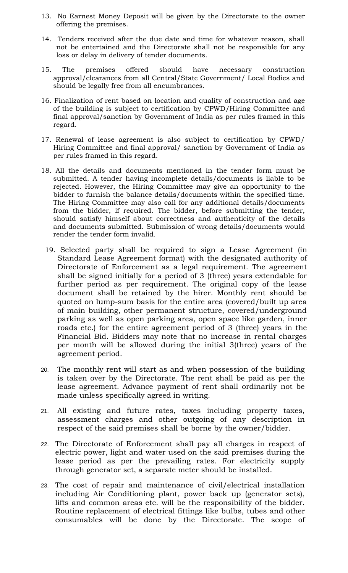- 13. No Earnest Money Deposit will be given by the Directorate to the owner offering the premises.
- 14. Tenders received after the due date and time for whatever reason, shall not be entertained and the Directorate shall not be responsible for any loss or delay in delivery of tender documents.
- 15. The premises offered should have necessary construction approval/clearances from all Central/State Government/ Local Bodies and should be legally free from all encumbrances.
- 16. Finalization of rent based on location and quality of construction and age of the building is subject to certification by CPWD/Hiring Committee and final approval/sanction by Government of India as per rules framed in this regard.
- 17. Renewal of lease agreement is also subject to certification by CPWD/ Hiring Committee and final approval/ sanction by Government of India as per rules framed in this regard.
- 18. All the details and documents mentioned in the tender form must be submitted. A tender having incomplete details/documents is liable to be rejected. However, the Hiring Committee may give an opportunity to the bidder to furnish the balance details/documents within the specified time. The Hiring Committee may also call for any additional details/documents from the bidder, if required. The bidder, before submitting the tender, should satisfy himself about correctness and authenticity of the details and documents submitted. Submission of wrong details/documents would render the tender form invalid.
- 19. Selected party shall be required to sign a Lease Agreement (in Standard Lease Agreement format) with the designated authority of Directorate of Enforcement as a legal requirement. The agreement shall be signed initially for a period of 3 (three) years extendable for further period as per requirement. The original copy of the lease document shall be retained by the hirer. Monthly rent should be quoted on lump-sum basis for the entire area (covered/built up area of main building, other permanent structure, covered/underground parking as well as open parking area, open space like garden, inner roads etc.) for the entire agreement period of 3 (three) years in the Financial Bid. Bidders may note that no increase in rental charges per month will be allowed during the initial 3(three) years of the agreement period.
- 20. The monthly rent will start as and when possession of the building is taken over by the Directorate. The rent shall be paid as per the lease agreement. Advance payment of rent shall ordinarily not be made unless specifically agreed in writing.
- 21. All existing and future rates, taxes including property taxes, assessment charges and other outgoing of any description in respect of the said premises shall be borne by the owner/bidder.
- 22. The Directorate of Enforcement shall pay all charges in respect of electric power, light and water used on the said premises during the lease period as per the prevailing rates. For electricity supply through generator set, a separate meter should be installed.
- 23. The cost of repair and maintenance of civil/electrical installation including Air Conditioning plant, power back up (generator sets), lifts and common areas etc. will be the responsibility of the bidder. Routine replacement of electrical fittings like bulbs, tubes and other consumables will be done by the Directorate. The scope of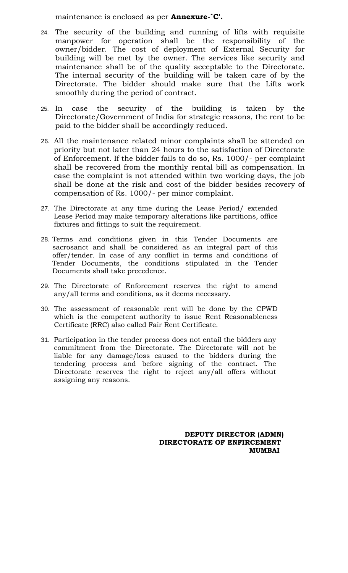maintenance is enclosed as per **Annexure-`C'.**

- 24. The security of the building and running of lifts with requisite manpower for operation shall be the responsibility of the owner/bidder. The cost of deployment of External Security for building will be met by the owner. The services like security and maintenance shall be of the quality acceptable to the Directorate. The internal security of the building will be taken care of by the Directorate. The bidder should make sure that the Lifts work smoothly during the period of contract.
- 25. In case the security of the building is taken by the Directorate/Government of India for strategic reasons, the rent to be paid to the bidder shall be accordingly reduced.
- 26. All the maintenance related minor complaints shall be attended on priority but not later than 24 hours to the satisfaction of Directorate of Enforcement. If the bidder fails to do so, Rs. 1000/- per complaint shall be recovered from the monthly rental bill as compensation. In case the complaint is not attended within two working days, the job shall be done at the risk and cost of the bidder besides recovery of compensation of Rs. 1000/- per minor complaint.
- 27. The Directorate at any time during the Lease Period/ extended Lease Period may make temporary alterations like partitions, office fixtures and fittings to suit the requirement.
- 28. Terms and conditions given in this Tender Documents are sacrosanct and shall be considered as an integral part of this offer/tender. In case of any conflict in terms and conditions of Tender Documents, the conditions stipulated in the Tender Documents shall take precedence.
- 29. The Directorate of Enforcement reserves the right to amend any/all terms and conditions, as it deems necessary.
- 30. The assessment of reasonable rent will be done by the CPWD which is the competent authority to issue Rent Reasonableness Certificate (RRC) also called Fair Rent Certificate.
- 31. Participation in the tender process does not entail the bidders any commitment from the Directorate. The Directorate will not be liable for any damage/loss caused to the bidders during the tendering process and before signing of the contract. The Directorate reserves the right to reject any/all offers without assigning any reasons.

 **DEPUTY DIRECTOR (ADMN) DIRECTORATE OF ENFIRCEMENT MUMBAI**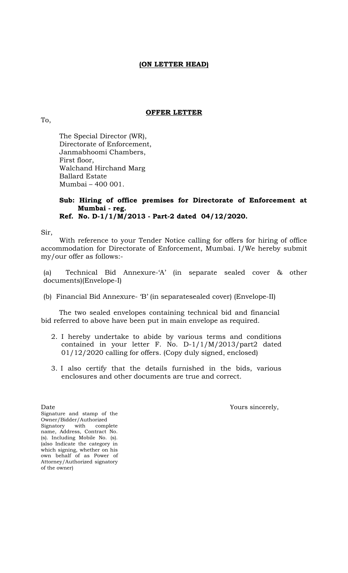# **(ON LETTER HEAD)**

# **OFFER LETTER**

To,

The Special Director (WR), Directorate of Enforcement, Janmabhoomi Chambers, First floor, Walchand Hirchand Marg Ballard Estate Mumbai – 400 001.

#### **Sub: Hiring of office premises for Directorate of Enforcement at Mumbai - reg. Ref. No. D-1/1/M/2013 - Part-2 dated 04/12/2020.**

Sir,

With reference to your Tender Notice calling for offers for hiring of office accommodation for Directorate of Enforcement, Mumbai. I/We hereby submit my/our offer as follows:-

(a) Technical Bid Annexure-'A' (in separate sealed cover & other documents)(Envelope-I)

(b) Financial Bid Annexure- 'B' (in separatesealed cover) (Envelope-II)

The two sealed envelopes containing technical bid and financial bid referred to above have been put in main envelope as required.

- 2. I hereby undertake to abide by various terms and conditions contained in your letter F. No. D-1/1/M/2013/part2 dated 01/12/2020 calling for offers. (Copy duly signed, enclosed)
- 3. I also certify that the details furnished in the bids, various enclosures and other documents are true and correct.

Date Yours sincerely,

Signature and stamp of the Owner/Bidder/Authorized Signatory with complete name, Address, Contract No. (s). Including Mobile No. (s). (also Indicate the category in which signing, whether on his own behalf of as Power of Attorney/Authorized signatory of the owner)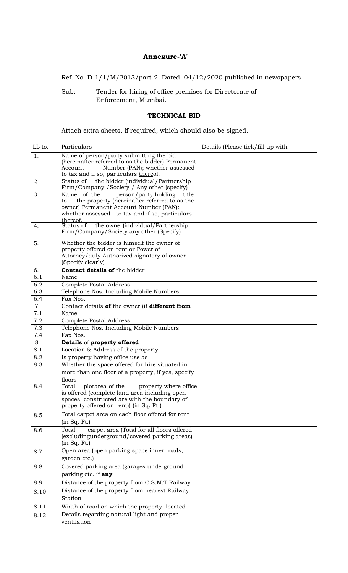# **Annexure-'A'**

Ref. No. D-1/1/M/2013/part-2 Dated 04/12/2020 published in newspapers.

Sub: Tender for hiring of office premises for Directorate of Enforcement, Mumbai.

# **TECHNICAL BID**

Attach extra sheets, if required, which should also be signed.

| LL to.         | Particulars                                                                                        | Details (Please tick/fill up with |
|----------------|----------------------------------------------------------------------------------------------------|-----------------------------------|
| 1.             | Name of person/party submitting the bid                                                            |                                   |
|                | (hereinafter referred to as the bidder) Permanent<br>Number (PAN); whether assessed<br>Account     |                                   |
|                | to tax and if so, particulars thereof.                                                             |                                   |
| 2.             | the bidder (individual/Partnership<br>Status of                                                    |                                   |
|                | Firm/Company /Society / Any other (specify)                                                        |                                   |
| 3.             | Name of the<br>person/party holding<br>title<br>the property (hereinafter referred to as the<br>to |                                   |
|                | owner) Permanent Account Number (PAN):                                                             |                                   |
|                | whether assessed to tax and if so, particulars                                                     |                                   |
| 4.             | thereof.<br>the owner(individual/Partnership<br>Status of                                          |                                   |
|                | Firm/Company/Society any other (Specify)                                                           |                                   |
| 5.             | Whether the bidder is himself the owner of                                                         |                                   |
|                | property offered on rent or Power of                                                               |                                   |
|                | Attorney/duly Authorized signatory of owner<br>(Specify clearly)                                   |                                   |
| 6.             | Contact details of the bidder                                                                      |                                   |
| 6.1            | Name                                                                                               |                                   |
| 6.2            | <b>Complete Postal Address</b>                                                                     |                                   |
| 6.3            | Telephone Nos. Including Mobile Numbers                                                            |                                   |
| 6.4            | Fax Nos.                                                                                           |                                   |
| $\overline{7}$ | Contact details of the owner (if different from                                                    |                                   |
| 7.1            | Name                                                                                               |                                   |
| 7.2            | <b>Complete Postal Address</b>                                                                     |                                   |
| 7.3            | Telephone Nos. Including Mobile Numbers                                                            |                                   |
| 7.4            | Fax Nos.                                                                                           |                                   |
| 8<br>8.1       | Details of property offered<br>Location & Address of the property                                  |                                   |
| 8.2            | Is property having office use as                                                                   |                                   |
| 8.3            | Whether the space offered for hire situated in                                                     |                                   |
|                | more than one floor of a property, if yes, specify                                                 |                                   |
|                | floors                                                                                             |                                   |
| 8.4            | plotarea of the<br>property where office<br>Total                                                  |                                   |
|                | is offered (complete land area including open                                                      |                                   |
|                | spaces, constructed are with the boundary of                                                       |                                   |
|                | property offered on rent)) (in Sq. Ft.)                                                            |                                   |
| 8.5            | Total carpet area on each floor offered for rent                                                   |                                   |
|                | (in Sq. Ft.)                                                                                       |                                   |
| 8.6            | Total<br>carpet area (Total for all floors offered<br>(excludingunderground/covered parking areas) |                                   |
|                | (in Sq. Ft.)                                                                                       |                                   |
| 8.7            | Open area (open parking space inner roads,                                                         |                                   |
|                | garden etc.)                                                                                       |                                   |
| 8.8            | Covered parking area (garages underground                                                          |                                   |
|                | parking etc. if any                                                                                |                                   |
| 8.9            | Distance of the property from C.S.M.T Railway                                                      |                                   |
| 8.10           | Distance of the property from nearest Railway                                                      |                                   |
|                | Station                                                                                            |                                   |
| 8.11           | Width of road on which the property located                                                        |                                   |
| 8.12           | Details regarding natural light and proper                                                         |                                   |
|                | ventilation                                                                                        |                                   |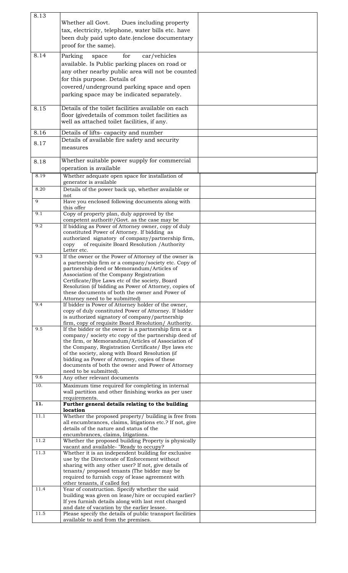| 8.13 |                                                                                                              |  |
|------|--------------------------------------------------------------------------------------------------------------|--|
|      | Whether all Govt.<br>Dues including property                                                                 |  |
|      | tax, electricity, telephone, water bills etc. have                                                           |  |
|      | been duly paid upto date.(enclose documentary                                                                |  |
|      | proof for the same).                                                                                         |  |
|      |                                                                                                              |  |
| 8.14 | for<br>Parking<br>car/vehicles<br>space                                                                      |  |
|      | available. Is Public parking places on road or                                                               |  |
|      | any other nearby public area will not be counted                                                             |  |
|      | for this purpose. Details of                                                                                 |  |
|      | covered/underground parking space and open                                                                   |  |
|      |                                                                                                              |  |
|      | parking space may be indicated separately.                                                                   |  |
| 8.15 | Details of the toilet facilities available on each                                                           |  |
|      | floor (givedetails of common toilet facilities as                                                            |  |
|      | well as attached toilet facilities, if any.                                                                  |  |
|      |                                                                                                              |  |
| 8.16 | Details of lifts-capacity and number                                                                         |  |
| 8.17 | Details of available fire safety and security                                                                |  |
|      | measures                                                                                                     |  |
|      |                                                                                                              |  |
| 8.18 | Whether suitable power supply for commercial                                                                 |  |
|      | operation is available                                                                                       |  |
| 8.19 | Whether adequate open space for installation of                                                              |  |
|      | generator is available                                                                                       |  |
| 8.20 | Details of the power back up, whether available or                                                           |  |
|      | not                                                                                                          |  |
| 9    | Have you enclosed following documents along with                                                             |  |
| 9.1  | this offer<br>Copy of property plan, duly approved by the                                                    |  |
|      | competent authority/Govt. as the case may be                                                                 |  |
| 9.2  | If bidding as Power of Attorney owner, copy of duly                                                          |  |
|      | constituted Power of Attorney. If bidding as                                                                 |  |
|      | authorized signatory of company/partnership firm,                                                            |  |
|      | of requisite Board Resolution / Authority<br>copy                                                            |  |
| 9.3  | Letter etc.<br>If the owner or the Power of Attorney of the owner is                                         |  |
|      | a partnership firm or a company/society etc. Copy of                                                         |  |
|      | partnership deed or Memorandum/Articles of                                                                   |  |
|      | Association of the Company Registration                                                                      |  |
|      | Certificate/Bye Laws etc of the society, Board                                                               |  |
|      | Resolution (if bidding as Power of Attorney, copies of                                                       |  |
|      | these documents of both the owner and Power of                                                               |  |
| 9.4  | Attorney need to be submitted)                                                                               |  |
|      | If bidder is Power of Attorney holder of the owner,<br>copy of duly constituted Power of Attorney. If bidder |  |
|      | is authorized signatory of company/partnership                                                               |  |
|      | firm, copy of requisite Board Resolution/ Authority.                                                         |  |
| 9.5  | If the bidder or the owner is a partnership firm or a                                                        |  |
|      | company/ society etc copy of the partnership deed of                                                         |  |
|      | the firm, or Memorandum/Articles of Association of                                                           |  |
|      | the Company, Registration Certificate/ Bye laws etc<br>of the society, along with Board Resolution (if       |  |
|      | bidding as Power of Attorney, copies of these                                                                |  |
|      | documents of both the owner and Power of Attorney                                                            |  |
|      | need to be submitted).                                                                                       |  |
| 9.6  | Any other relevant documents                                                                                 |  |
| 10.  | Maximum time required for completing in internal                                                             |  |
|      | wall partition and other finishing works as per user                                                         |  |
|      | requirements.                                                                                                |  |
| 11.  | Further general details relating to the building<br>location                                                 |  |
| 11.1 | Whether the proposed property/ building is free from                                                         |  |
|      | all encumbrances, claims, litigations etc.? If not, give                                                     |  |
|      | details of the nature and status of the                                                                      |  |
|      | encumbrances, claims, litigations.                                                                           |  |
| 11.2 | Whether the proposed building Property is physically                                                         |  |
| 11.3 | vacant and available- "Ready to occupy?<br>Whether it is an independent building for exclusive               |  |
|      | use by the Directorate of Enforcement without                                                                |  |
|      | sharing with any other user? If not, give details of                                                         |  |
|      | tenants/ proposed tenants (The bidder may be                                                                 |  |
|      | required to furnish copy of lease agreement with                                                             |  |
|      | other tenants, if called for)                                                                                |  |
| 11.4 | Year of construction. Specify whether the said                                                               |  |
|      | building was given on lease/hire or occupied earlier?<br>If yes furnish details along with last rent charged |  |
|      | and date of vacation by the earlier lessee.                                                                  |  |
| 11.5 | Please specify the details of public transport facilities                                                    |  |
|      | available to and from the premises.                                                                          |  |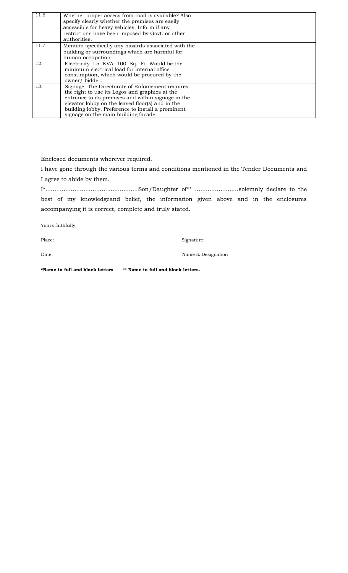| 11.6 | Whether proper access from road is available? Also   |  |
|------|------------------------------------------------------|--|
|      | specify clearly whether the premises are easily      |  |
|      |                                                      |  |
|      | accessible for heavy vehicles. Inform if any         |  |
|      | restrictions have been imposed by Govt. or other     |  |
|      | authorities.                                         |  |
| 11.7 | Mention specifically any hazards associated with the |  |
|      | building or surroundings which are harmful for       |  |
|      | human occupation                                     |  |
| 12.  | Electricity 1.5 KVA 100 Sq. Ft. Would be the         |  |
|      | minimum electrical load for internal office          |  |
|      | consumption, which would be procured by the          |  |
|      | owner/bidder.                                        |  |
|      |                                                      |  |
| 13.  | Signage-The Directorate of Enforcement requires      |  |
|      | the right to use its Logos and graphics at the       |  |
|      | entrance to its premises and within signage in the   |  |
|      | elevator lobby on the leased floor(s) and in the     |  |
|      | building lobby. Preference to install a prominent    |  |
|      | signage on the main building facade.                 |  |

Enclosed documents wherever required.

I have gone through the various terms and conditions mentioned in the Tender Documents and I agree to abide by them.

I\*...................................................Son/Daughter of\*\* ........................solemnly declare to the best of my knowledgeand belief, the information given above and in the enclosures accompanying it is correct, complete and truly stated.

Yours faithfully,

Place: 'Signature: 'Signature: 'Signature: 'Signature: '

Date: Name & Designation

**\*Name in full and block letters** \*\* **Name in full and block letters.**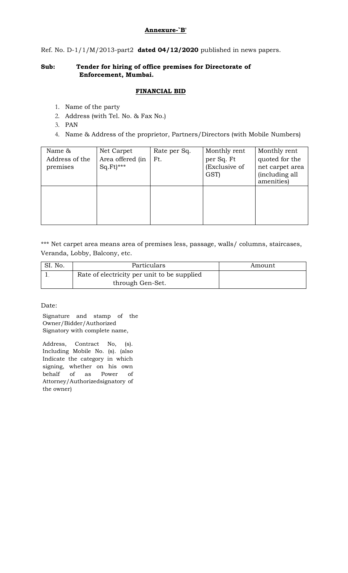#### **Annexure-`B'**

Ref. No. D-1/1/M/2013-part2 **dated 04/12/2020** published in news papers.

# **Sub: Tender for hiring of office premises for Directorate of Enforcement, Mumbai.**

#### **FINANCIAL BID**

- 1. Name of the party
- 2. Address (with Tel. No. & Fax No.)
- 3. PAN
- 4. Name & Address of the proprietor, Partners/Directors (with Mobile Numbers)

| Name &         | Net Carpet             | Rate per Sq. | Monthly rent  | Monthly rent    |
|----------------|------------------------|--------------|---------------|-----------------|
| Address of the | Area offered (in       | Ft.          | per Sq. Ft    | quoted for the  |
| premises       | $Sq.Ft$ <sup>***</sup> |              | (Exclusive of | net carpet area |
|                |                        |              | GST)          | (including all  |
|                |                        |              |               | amenities)      |
|                |                        |              |               |                 |
|                |                        |              |               |                 |
|                |                        |              |               |                 |
|                |                        |              |               |                 |
|                |                        |              |               |                 |

\*\*\* Net carpet area means area of premises less, passage, walls/ columns, staircases, Veranda, Lobby, Balcony, etc.

| SI. No. | Particulars                                 | Amount |
|---------|---------------------------------------------|--------|
|         | Rate of electricity per unit to be supplied |        |
|         | through Gen-Set.                            |        |

Date:

Signature and stamp of the Owner/Bidder/Authorized Signatory with complete name,

Address, Contract No, (s). Including Mobile No. (s). (also Indicate the category in which signing, whether on his own behalf of as Power of Attorney/Authorizedsignatory of the owner)